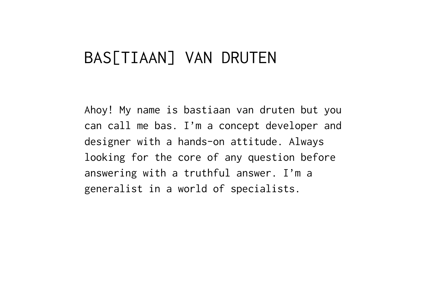# BAS[TIAAN] VAN DRUTEN

Ahoy! My name is bastiaan van druten but you can call me bas. I'm a concept developer and designer with a hands-on attitude. Always looking for the core of any question before answering with a truthful answer. I'm a generalist in a world of specialists.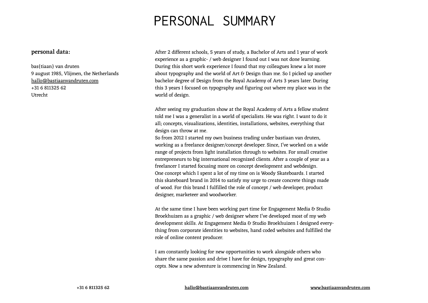### personal summary

#### personal data:

bas{tiaan} van druten 9 august 1985, Vlijmen, the Netherlands [hallo@bastiaanvandruten.com](mailto:hallo%40bastiaanvandruten.com?subject=bastiaan%20van%20druten%20english%20cv) +31 6 811325 62 Utrecht

After 2 different schools, 5 years of study, a Bachelor of Arts and 1 year of work experience as a graphic- / web designer I found out I was not done learning. During this short work experience I found that my colleagues knew a lot more about typography and the world of Art & Design than me. So I picked up another bachelor degree of Design from the Royal Academy of Arts 3 years later. During this 3 years I focused on typography and figuring out where my place was in the world of design.

After seeing my graduation show at the Royal Academy of Arts a fellow student told me I was a generalist in a world of specialists. He was right. I want to do it all; concepts, visualizations, identities, installations, websites, everything that design can throw at me.

So from 2012 I started my own business trading under bastiaan van druten, working as a freelance designer/concept developer. Since, I've worked on a wide range of projects from light installation through to websites. For small creative entrepreneurs to big international recognized clients. After a couple of year as a freelancer I started focusing more on concept development and webdesign. One concept which I spent a lot of my time on is Woody Skateboards. I started this skateboard brand in 2014 to satisfy my urge to create concrete things made of wood. For this brand I fulfilled the role of concept / web developer, product designer, marketeer and woodworker.

At the same time I have been working part time for Engagement Media & Studio Broekhuizen as a graphic / web designer where I've developed most of my web development skills. At Engagement Media & Studio Broekhuizen I designed everything from corporate identities to websites, hand coded websites and fulfilled the role of online content producer.

I am constantly looking for new opportunities to work alongside others who share the same passion and drive I have for design, typography and great concepts. Now a new adventure is commencing in New Zealand.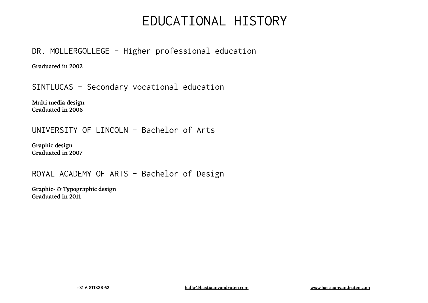## educational history

DR. MOLLERGOLLEGE - Higher professional education

Graduated in 2002

Sintlucas - Secondary vocational education

Multi media design Graduated in 2006

### UNIVERSITY OF LINCOLN - Bachelor of Arts

Graphic design Graduated in 2007

### Royal Academy of arts - Bachelor of Design

Graphic- & Typographic design Graduated in 2011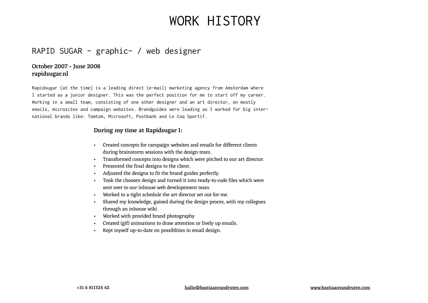### RAPID SUGAR - graphic- / web designer

### October 2007 - June 2008 rapidsugar.nl

Rapidsugar (at the time) is a leading direct (e-mail) marketing agency from Amsterdam where I started as a junior designer. This was the perfect position for me to start off my career. Working in a small team, consisting of one other designer and an art director, on mostly emails, microsites and campaign websites. Brandguides were leading as I worked for big international brands like: Tomtom, Microsoft, Postbank and Le Coq Sportif.

#### During my time at Rapidsugar I:

- Created concepts for campaign websites and emails for different clients during brainstorm sessions with the design team.
- Transformed concepts into designs which were pitched to our art director.
- Presented the final designs to the client.
- Adjusted the designs to fit the brand guides perfectly.
- Took the choosen design and turned it into ready-to-code files which were sent over to our inhouse web developement team.
- Worked to a tight schedule the art director set out for me.
- Shared my knowledge, gained during the design proces, with my collegues through an inhouse wiki.
- Worked with provided brand photography
- Created (gif) animations to draw attention or lively up emails.
- Kept myself up-to-date on possiblities in email design.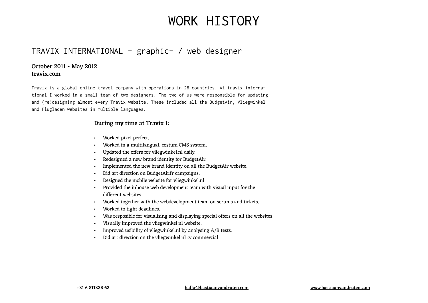### travix international - graphic- / web designer

#### October 2011 - May 2012 travix.com

Travix is a global online travel company with operations in 28 countries. At travix international I worked in a small team of two designers. The two of us were responsible for updating and (re)designing almost every Travix website. These included all the BudgetAir, Vliegwinkel and Flugladen websites in multiple languages.

#### During my time at Travix I:

- Worked pixel perfect.
- Worked in a multilangual, costum CMS system.
- Updated the offers for vliegwinkel.nl daily.
- Redesigned a new brand identity for BudgetAir.
- Implemented the new brand identity on all the BudgetAir website.
- Did art direction on BudgetAir.fr campaigns.
- Designed the mobile website for vliegwinkel.nl.
- Provided the inhouse web development team with visual input for the different websites.
- Worked together with the webdevelopment team on scrums and tickets.
- Worked to tight deadlines.
- Was resposible for visualising and displaying special offers on all the websites.
- Visually improved the vliegwinkel.nl website.
- Improved usibility of vliegwinkel.nl by analysing A/B tests.
- Did art direction on the vliegwinkel.nl tv commercial.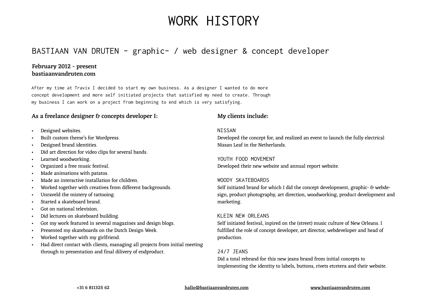### bastiaan van druten - graphic- / web designer & concept developer

#### February 2012 - present bastiaanvandruten.com

After my time at Travix I decided to start my own business. As a designer I wanted to do more concept development and more self initiated projects that satisfied my need to create. Through my business I can work on a project from beginning to end which is very satisfying.

#### As a freelance designer & concepts developer I: My clients include:

- Designed websites.
- Built custom theme's for Wordpress.
- Designed brand identities.
- Did art direction for video clips for several bands.
- Learned woodworking.
- Organized a free music festival.
- Made animations with patatos.
- Made an interactive installation for children.
- Worked together with creatives from different backgrounds.
- Unraveld the mistery of tattooing.
- Started a skateboard brand.
- Got on national television.
- Did lectures on skateboard building.
- Got my work featured in several magazines and design blogs.
- Presented my skateboards on the Dutch Design Week.
- Worked together with my girlfriend.
- Had direct contact with clients, managing all projects from initial meeting through to presentation and final dilivery of endproduct.

#### **NTSSAN**

Developed the concept for, and realized an event to launch the fully electrical Nissan Leaf in the Netherlands.

#### YOUTH FOOD MOVEMENT Developed their new website and annual report website.

#### WOODY SKATFBOARDS

Self initiated brand for which I did the concept development, graphic- & webdesign, product photography, art direction, woodworking, product development and marketing.

#### KI FTN NFW ORI FANS

Self initiated festival, inpired on the (street) music culture of New Orleans. I fulfilled the role of concept developer, art director, webdeveloper and head of production.

#### 24/7 TFANS

Did a total rebrand for this new jeans brand from initial concepts to implementing the identity to labels, buttons, rivets etcetera and their website.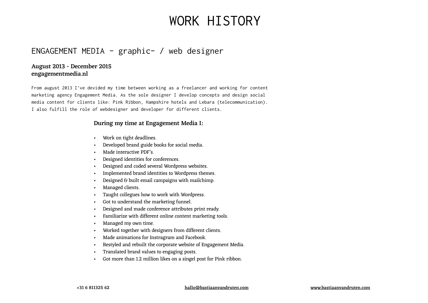### Engagement Media - graphic- / web designer

#### August 2013 - December 2015 engagementmedia.nl

From august 2013 I've devided my time between working as a freelancer and working for content marketing agency Engagement Media. As the sole designer I develop concepts and design social media content for clients like: Pink Ribbon, Hampshire hotels and Lebara (telecommunication). I also fulfill the role of webdesigner and developer for different clients.

#### During my time at Engagement Media I:

- Work on tight deadlines.
- Developed brand guide books for social media.
- Made interactive PDF's.
- Designed identities for conferences.
- Designed and coded several Wordpress websites.
- Implemented brand identities to Wordpress themes.
- Designed & built email campaigns with mailchimp.
- Managed clients.
- Taught collegues how to work with Wordpress.
- Got to understand the marketing funnel.
- Designed and made conference attributes print ready.
- Familiarize with different online content marketing tools.
- Managed my own time.
- Worked together with designers from different clients.
- Made animations for Instragram and Facebook.
- Restyled and rebuilt the corporate website of Engagement Media.
- Translated brand values to engaging posts.
- Got more than 1.2 million likes on a singel post for Pink ribbon.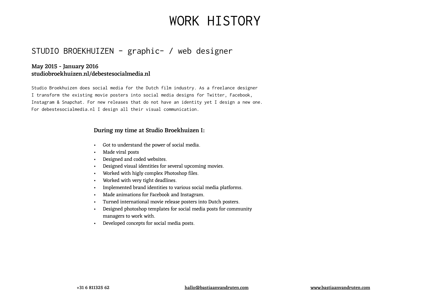### Studio broekhuizen - graphic- / web designer

### May 2015 - January 2016 studiobroekhuizen.nl/debestesocialmedia.nl

Studio Broekhuizen does social media for the Dutch film industry. As a freelance designer I transform the existing movie posters into social media designs for Twitter, Facebook, Instagram & Snapchat. For new releases that do not have an identity yet I design a new one. For debestesocialmedia.nl I design all their visual communication.

#### During my time at Studio Broekhuizen I:

- Got to understand the power of social media.
- Made viral posts
- Designed and coded websites.
- Designed visual identities for several upcoming movies.
- Worked with higly complex Photoshop files.
- Worked with very tight deadlines.
- Implemented brand identities to various social media platforms.
- Made animations for Facebook and Instagram.
- Turned international movie release posters into Dutch posters.
- Designed photoshop templates for social media posts for community managers to work with.
- Developed concepts for social media posts.